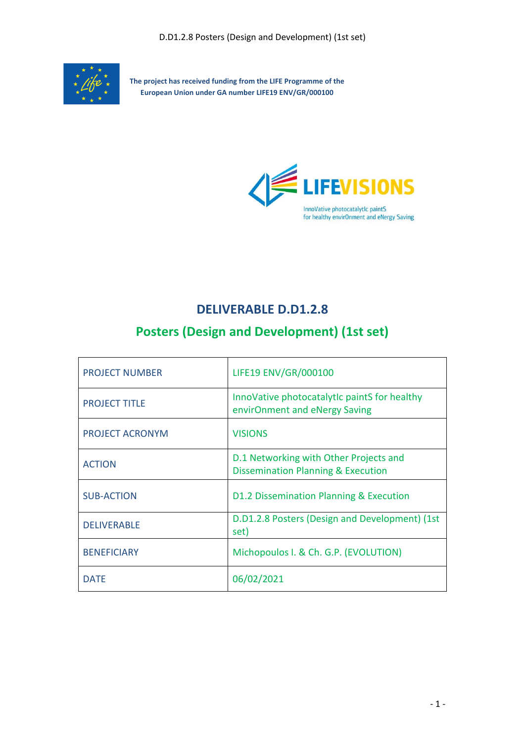

**The project has received funding from the LIFE Programme of the European Union under GA number LIFE19 ENV/GR/000100**



# **DELIVERABLE D.D1.2.8**

# **Posters (Design and Development) (1st set)**

| <b>PROJECT NUMBER</b> | LIFE19 ENV/GR/000100                                                                    |
|-----------------------|-----------------------------------------------------------------------------------------|
| <b>PROJECT TITLE</b>  | InnoVative photocatalytic paintS for healthy<br>envirOnment and eNergy Saving           |
| PROJECT ACRONYM       | <b>VISIONS</b>                                                                          |
| <b>ACTION</b>         | D.1 Networking with Other Projects and<br><b>Dissemination Planning &amp; Execution</b> |
| <b>SUB-ACTION</b>     | D1.2 Dissemination Planning & Execution                                                 |
| <b>DELIVERABLE</b>    | D.D1.2.8 Posters (Design and Development) (1st<br>set)                                  |
| <b>BENEFICIARY</b>    | Michopoulos I. & Ch. G.P. (EVOLUTION)                                                   |
| <b>DATF</b>           | 06/02/2021                                                                              |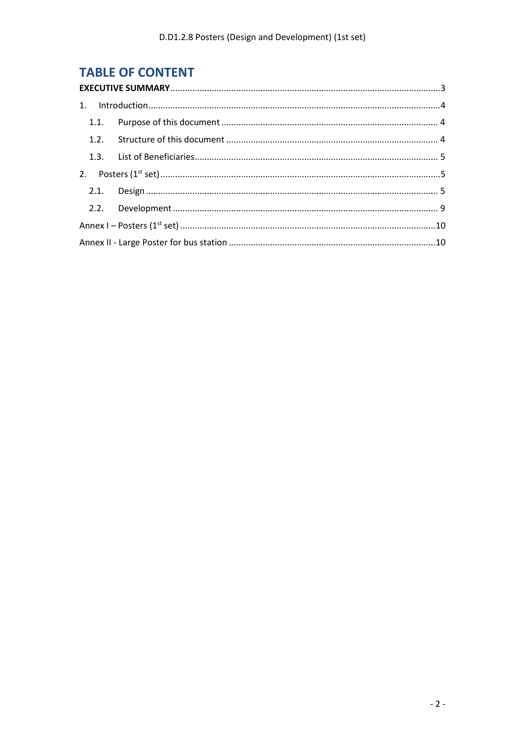# **TABLE OF CONTENT**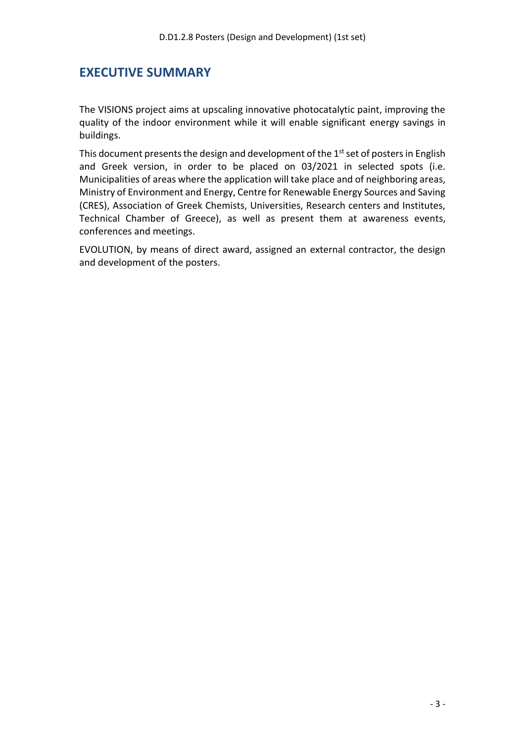### <span id="page-2-0"></span>**EXECUTIVE SUMMARY**

The VISIONS project aims at upscaling innovative photocatalytic paint, improving the quality of the indoor environment while it will enable significant energy savings in buildings.

This document presents the design and development of the  $1<sup>st</sup>$  set of posters in English and Greek version, in order to be placed on 03/2021 in selected spots (i.e. Municipalities of areas where the application will take place and of neighboring areas, Ministry of Environment and Energy, Centre for Renewable Energy Sources and Saving (CRES), Association of Greek Chemists, Universities, Research centers and Institutes, Technical Chamber of Greece), as well as present them at awareness events, conferences and meetings.

EVOLUTION, by means of direct award, assigned an external contractor, the design and development of the posters.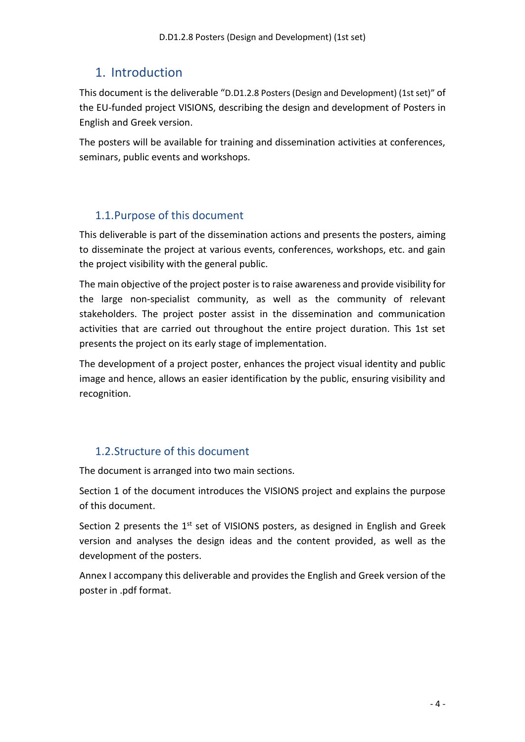### <span id="page-3-0"></span>1. Introduction

This document is the deliverable "D.D1.2.8 Posters (Design and Development) (1st set)" of the EU‐funded project VISIONS, describing the design and development of Posters in English and Greek version.

The posters will be available for training and dissemination activities at conferences, seminars, public events and workshops.

### <span id="page-3-1"></span>1.1.Purpose of this document

This deliverable is part of the dissemination actions and presents the posters, aiming to disseminate the project at various events, conferences, workshops, etc. and gain the project visibility with the general public.

The main objective of the project poster is to raise awareness and provide visibility for the large non-specialist community, as well as the community of relevant stakeholders. The project poster assist in the dissemination and communication activities that are carried out throughout the entire project duration. This 1st set presents the project on its early stage of implementation.

The development of a project poster, enhances the project visual identity and public image and hence, allows an easier identification by the public, ensuring visibility and recognition.

### <span id="page-3-2"></span>1.2.Structure of this document

The document is arranged into two main sections.

Section 1 of the document introduces the VISIONS project and explains the purpose of this document.

Section 2 presents the  $1<sup>st</sup>$  set of VISIONS posters, as designed in English and Greek version and analyses the design ideas and the content provided, as well as the development of the posters.

Annex I accompany this deliverable and provides the English and Greek version of the poster in .pdf format.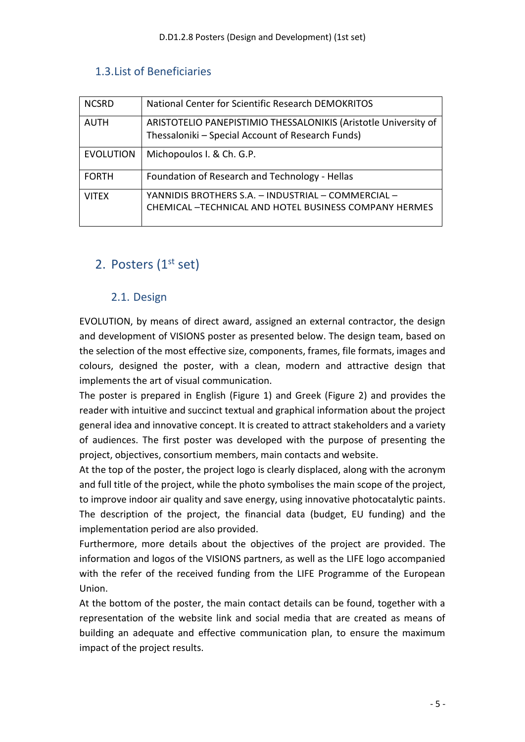### <span id="page-4-0"></span>1.3.List of Beneficiaries

| <b>NCSRD</b>     | National Center for Scientific Research DEMOKRITOS                                                                   |
|------------------|----------------------------------------------------------------------------------------------------------------------|
| AUTH             | ARISTOTELIO PANEPISTIMIO THESSALONIKIS (Aristotle University of<br>Thessaloniki - Special Account of Research Funds) |
| <b>EVOLUTION</b> | Michopoulos I. & Ch. G.P.                                                                                            |
| <b>FORTH</b>     | Foundation of Research and Technology - Hellas                                                                       |
| <b>VITEX</b>     | YANNIDIS BROTHERS S.A. - INDUSTRIAL - COMMERCIAL -<br><b>CHEMICAL-TECHNICAL AND HOTEL BUSINESS COMPANY HERMES</b>    |

# <span id="page-4-1"></span>2. Posters (1st set)

### 2.1. Design

<span id="page-4-2"></span>EVOLUTION, by means of direct award, assigned an external contractor, the design and development of VISIONS poster as presented below. The design team, based on the selection of the most effective size, components, frames, file formats, images and colours, designed the poster, with a clean, modern and attractive design that implements the art of visual communication.

The poster is prepared in English (Figure 1) and Greek (Figure 2) and provides the reader with intuitive and succinct textual and graphical information about the project general idea and innovative concept. It is created to attract stakeholders and a variety of audiences. The first poster was developed with the purpose of presenting the project, objectives, consortium members, main contacts and website.

At the top of the poster, the project logo is clearly displaced, along with the acronym and full title of the project, while the photo symbolises the main scope of the project, to improve indoor air quality and save energy, using innovative photocatalytic paints. The description of the project, the financial data (budget, EU funding) and the implementation period are also provided.

Furthermore, more details about the objectives of the project are provided. The information and logos of the VISIONS partners, as well as the LIFE logo accompanied with the refer of the received funding from the LIFE Programme of the European Union.

At the bottom of the poster, the main contact details can be found, together with a representation of the website link and social media that are created as means of building an adequate and effective communication plan, to ensure the maximum impact of the project results.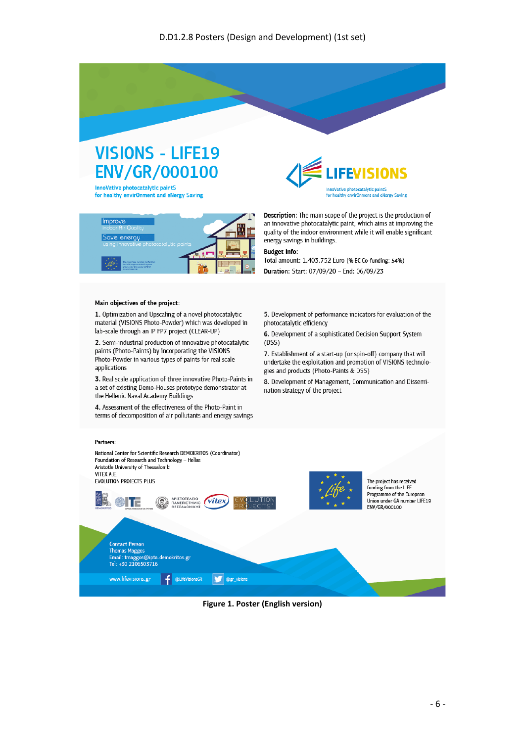

InnoVative photocatalytic paintS for healthy envirOnment and eNergy Saving



#### Main objectives of the project:

1. Optimization and Upscaling of a novel photocatalytic material (VISIONS Photo-Powder) which was developed in lab-scale through an IP FP7 project (CLEAR-UP)

2. Semi-industrial production of innovative photocatalytic paints (Photo-Paints) by incorporating the VISIONS Photo-Powder in various types of paints for real scale applications

3. Real scale application of three innovative Photo-Paints in a set of existing Demo-Houses prototype demonstrator at the Hellenic Naval Academy Buildings

4. Assessment of the effectiveness of the Photo-Paint in terms of decomposition of air pollutants and energy savings



Description: The main scope of the project is the production of an innovative photocatalytic paint, which aims at improving the quality of the indoor environment while it will enable significant energy savings in buildings.

#### **Budget Info:**

Total amount: 1,403,752 Euro (% EC Co-funding: 54%) Duration: Start: 07/09/20 - End: 06/09/23

5. Development of performance indicators for evaluation of the photocatalytic efficiency

6. Development of a sophisticated Decision Support System  $(DSS)$ 

7. Establishment of a start-up (or spin-off) company that will undertake the exploitation and promotion of VISIONS technologies and products (Photo-Paints & DSS)

8. Development of Management, Communication and Dissemination strategy of the project

#### Partners: National Center for Scientific Research DEMOKRITOS (Coordinator) Foundation of Research and Technology - Hellas Aristotle University of Thessaloniki **VITEX A.E. EVOLUTION PROJECTS PLUS** The project has received funding from the LIFE Programme of the European ΑΡΙΣΤΟΤΕΛΕΙΟ<br>ΠΑΝΕΠΙΣΤΗΜΙΟ<br>ΘΕΣΣΑΛΟΝΙΚΗΣ vitex Union under GA number LIFE19 ENV/GR/000100 **Contact Person** Thomas Maggos<br>Email: tmaggos@ipta.demokritos.gr<br>Tel: +30 2106503716 **Example 1** @LifeVisionsGR **DEVELO** @gr\_visions www.lifevisions.gr

#### Figure 1. Poster (English version)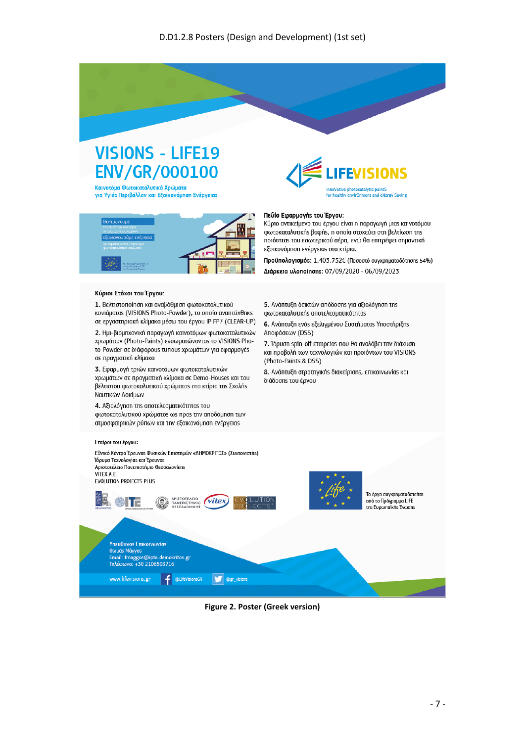# **VISIONS - LIFE19 ENV/GR/000100**

Καινοτόμα Φωτοκαταλυτικά Χρώματα<br>για Υγιέs Περιβάλλον και Εξοικονόμηση Ενέργειαs



#### Κύριοι Στόχοι του Έργου:

1. Βελτιστοποίηση και αναβάθμιση φωτοκαταλυτικού κονιάματοs (VISIONS Photo-Powder), το οποίο αναπτύχθηκε σε εργαστηριακή κλίμακα μέσω του έργου IP FP7 (CLEAR-UP)

2. Ημι-βιομηχανική παραγωγή καινοτόμων φωτοκαταλυτικών χρωμάτων (Photo-Paints) ενσωματώνονταs το VISIONS Photo-Powder σε διάφορουs τύπουs χρωμάτων για εφαρμογέs σε πραγματική κλίμακα

3. Εφαρμογή τριών καινοτόμων φωτοκαταλυτικών χρωμάτων σε πραγματική κλίμακα σε Demo-Houses και του βέλτιστου φωτοκαλυτικού χρώματοs στα κτίρια της Σχολής Ναυτικών Δοκίμων

4. Αξιολόγηση τη αποτελεσματικότηταs του φωτοκαταλυτικού χρώματοs ωs προs την αποδόμηση των ατμοσφαιρικών ρύπων και την εξοικονόμηση ενέργειαs

#### Εταίροι του έργου:



#### Πεδίο Εφαρμογής του Έργου:

Κύριο αντικείμενο του έργου είναι η παραγωγή μιαs καινοτόμου φωτοκαταλυτικήs βαφήs, η οποία στοχεύει στη βελτίωση της ποιότητας του εσωτερικού αέρα, ενώ θα επιτρέψει σημαντική εξοικονόμηση ενέργειαs στα κτίρια.

Προϋπολογισμός: 1.403.752€ (Ποσοστό συγχρηματοδότησης 54%) Διάρκεια υλοποίησης: 07/09/2020 - 06/09/2023

5. Ανάπτυξη δεικτών απόδοσηs για αξιολόγηση της φωτοκαταλυτικήs αποτελεσματικότηταs

6. Ανάπτυξη ενόs εξελιγμένου Συστήματοs Υποστήριξης Αποφάσεων (DSS)

7. Ίδρυση spin-off εταιρείαs που θα αναλάβει την διάχυση και προβολή των τεχνολογιών και προϊόντων του VISIONS (Photo-Paints & DSS)

8. Ανάπτυξη στρατηγικήs διαχείρισηs, επικοινωνίαs και διάδοσης του έργου



#### Figure 2. Poster (Greek version)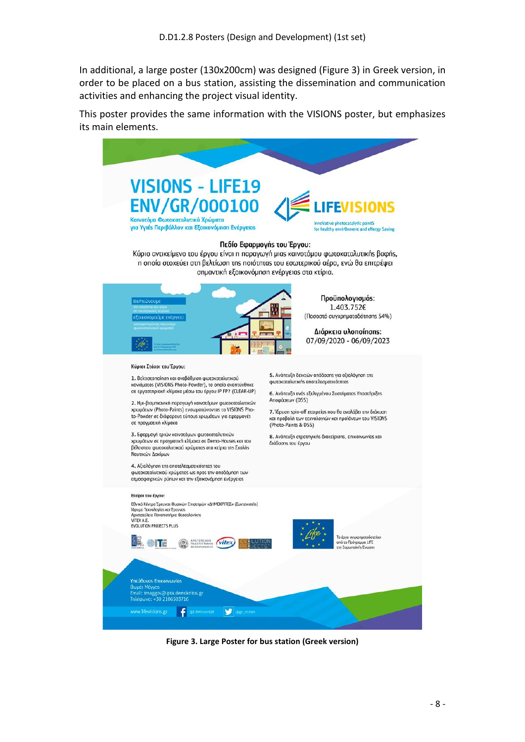In additional, a large poster (130x200cm) was designed (Figure 3) in Greek version, in order to be placed on a bus station, assisting the dissemination and communication activities and enhancing the project visual identity.

This poster provides the same information with the VISIONS poster, but emphasizes its main elements.



**Figure 3. Large Poster for bus station (Greek version)**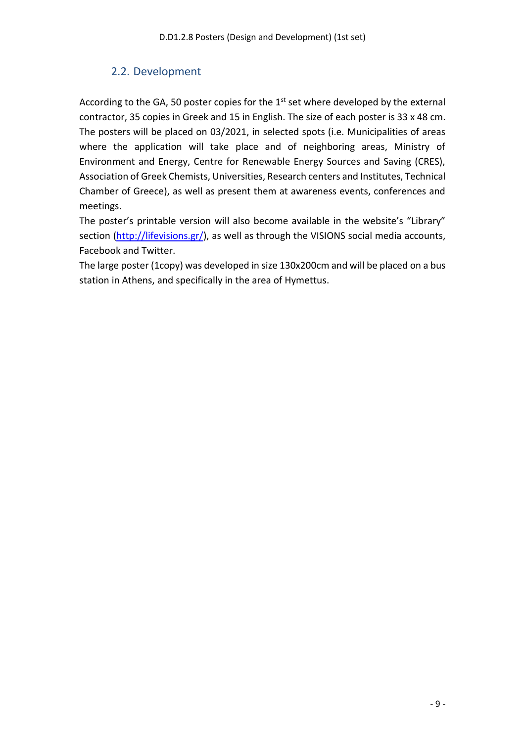## 2.2. Development

<span id="page-8-0"></span>According to the GA, 50 poster copies for the  $1<sup>st</sup>$  set where developed by the external contractor, 35 copies in Greek and 15 in English. The size of each poster is 33 x 48 cm. The posters will be placed on 03/2021, in selected spots (i.e. Municipalities of areas where the application will take place and of neighboring areas, Ministry of Environment and Energy, Centre for Renewable Energy Sources and Saving (CRES), Association of Greek Chemists, Universities, Research centers and Institutes, Technical Chamber of Greece), as well as present them at awareness events, conferences and meetings.

The poster's printable version will also become available in the website's "Library" section [\(http://lifevisions.gr/\)](http://lifevisions.gr/), as well as through the VISIONS social media accounts, Facebook and Twitter.

The large poster (1copy) was developed in size 130x200cm and will be placed on a bus station in Athens, and specifically in the area of Hymettus.